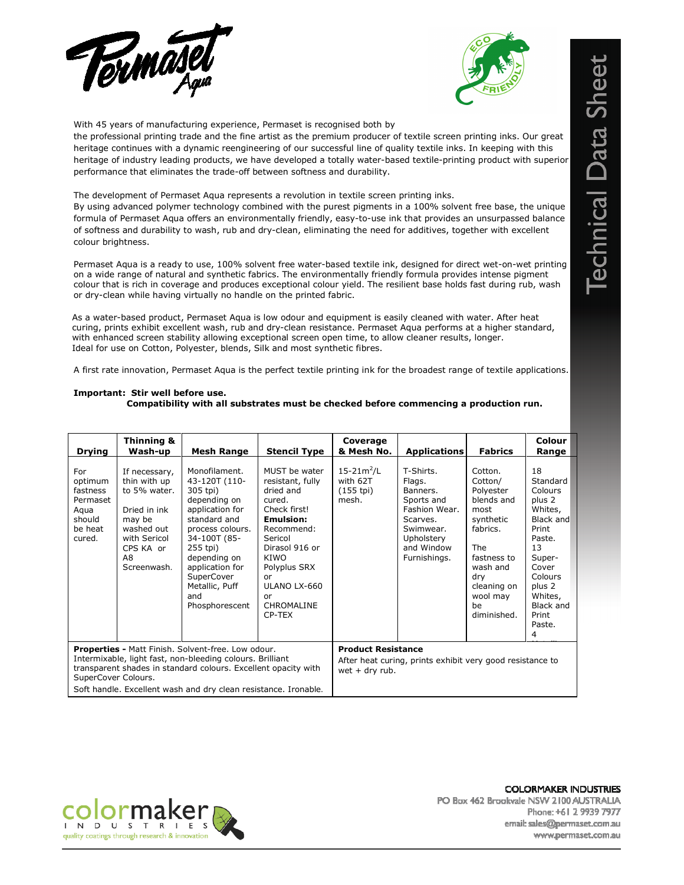



With 45 years of manufacturing experience, Permaset is recognised both by

the professional printing trade and the fine artist as the premium producer of textile screen printing inks. Our great heritage continues with a dynamic reengineering of our successful line of quality textile inks. In keeping with this heritage of industry leading products, we have developed a totally water-based textile-printing product with superior performance that eliminates the trade-off between softness and durability.

The development of Permaset Aqua represents a revolution in textile screen printing inks.

By using advanced polymer technology combined with the purest pigments in a 100% solvent free base, the unique formula of Permaset Aqua offers an environmentally friendly, easy-to-use ink that provides an unsurpassed balance of softness and durability to wash, rub and dry-clean, eliminating the need for additives, together with excellent colour brightness.

Permaset Aqua is a ready to use, 100% solvent free water-based textile ink, designed for direct wet-on-wet printing on a wide range of natural and synthetic fabrics. The environmentally friendly formula provides intense pigment colour that is rich in coverage and produces exceptional colour yield. The resilient base holds fast during rub, wash or dry-clean while having virtually no handle on the printed fabric.

 As a water-based product, Permaset Aqua is low odour and equipment is easily cleaned with water. After heat curing, prints exhibit excellent wash, rub and dry-clean resistance. Permaset Aqua performs at a higher standard, with enhanced screen stability allowing exceptional screen open time, to allow cleaner results, longer. Ideal for use on Cotton, Polyester, blends, Silk and most synthetic fibres.

A first rate innovation, Permaset Aqua is the perfect textile printing ink for the broadest range of textile applications.

| <b>Drying</b>                                                                                                                                                                                                                                                                      | Thinning &<br>Wash-up                                                                                                                   | <b>Mesh Range</b>                                                                                                                                                                                                                         | <b>Stencil Type</b>                                                                                                                                                                                                 | Coverage<br>& Mesh No.                                                                                     | <b>Applications</b>                                                                                                                 | <b>Fabrics</b>                                                                                                                                                          | Colour<br>Range                                                                                                                                                                                   |
|------------------------------------------------------------------------------------------------------------------------------------------------------------------------------------------------------------------------------------------------------------------------------------|-----------------------------------------------------------------------------------------------------------------------------------------|-------------------------------------------------------------------------------------------------------------------------------------------------------------------------------------------------------------------------------------------|---------------------------------------------------------------------------------------------------------------------------------------------------------------------------------------------------------------------|------------------------------------------------------------------------------------------------------------|-------------------------------------------------------------------------------------------------------------------------------------|-------------------------------------------------------------------------------------------------------------------------------------------------------------------------|---------------------------------------------------------------------------------------------------------------------------------------------------------------------------------------------------|
| For<br>optimum<br>fastness<br>Permaset<br>Agua<br>should<br>be heat<br>cured.                                                                                                                                                                                                      | If necessary,<br>thin with up<br>to 5% water.<br>Dried in ink<br>may be<br>washed out<br>with Sericol<br>CPS KA or<br>A8<br>Screenwash. | Monofilament.<br>43-120T (110-<br>305 tpi)<br>depending on<br>application for<br>standard and<br>process colours.<br>34-100T (85-<br>255 tpi)<br>depending on<br>application for<br>SuperCover<br>Metallic, Puff<br>and<br>Phosphorescent | MUST be water<br>resistant, fully<br>dried and<br>cured.<br>Check first!<br><b>Emulsion:</b><br>Recommend:<br>Sericol<br>Dirasol 916 or<br>KIWO<br>Polyplus SRX<br>or<br>ULANO LX-660<br>or<br>CHROMALINE<br>CP-TEX | $15 - 21m^2/L$<br>with 62T<br>$(155$ tpi)<br>mesh.                                                         | T-Shirts.<br>Flags.<br>Banners.<br>Sports and<br>Fashion Wear.<br>Scarves.<br>Swimwear.<br>Upholstery<br>and Window<br>Furnishings. | Cotton.<br>Cotton/<br>Polyester<br>blends and<br>most<br>synthetic<br>fabrics.<br>The<br>fastness to<br>wash and<br>dry<br>cleaning on<br>wool may<br>be<br>diminished. | 18<br>Standard<br><b>Colours</b><br>plus 2<br>Whites,<br>Black and<br>Print<br>Paste.<br>13<br>Super-<br>Cover<br><b>Colours</b><br>plus 2<br>Whites,<br><b>Black and</b><br>Print<br>Paste.<br>4 |
| <b>Properties - Matt Finish. Solvent-free. Low odour.</b><br>Intermixable, light fast, non-bleeding colours. Brilliant<br>transparent shades in standard colours. Excellent opacity with<br>SuperCover Colours.<br>Soft handle. Excellent wash and dry clean resistance. Ironable. |                                                                                                                                         |                                                                                                                                                                                                                                           |                                                                                                                                                                                                                     | <b>Product Resistance</b><br>After heat curing, prints exhibit very good resistance to<br>wet $+$ dry rub. |                                                                                                                                     |                                                                                                                                                                         |                                                                                                                                                                                                   |

## Important: Stir well before use. Compatibility with all substrates must be checked before commencing a production run.



**COLORMAKER INDUSTRIES** PO Box 462 Brookvale NSW 2100 AUSTRALIA Phone: +61 2 9939 7977 email: sales@permaset.com.au www.permaset.com.au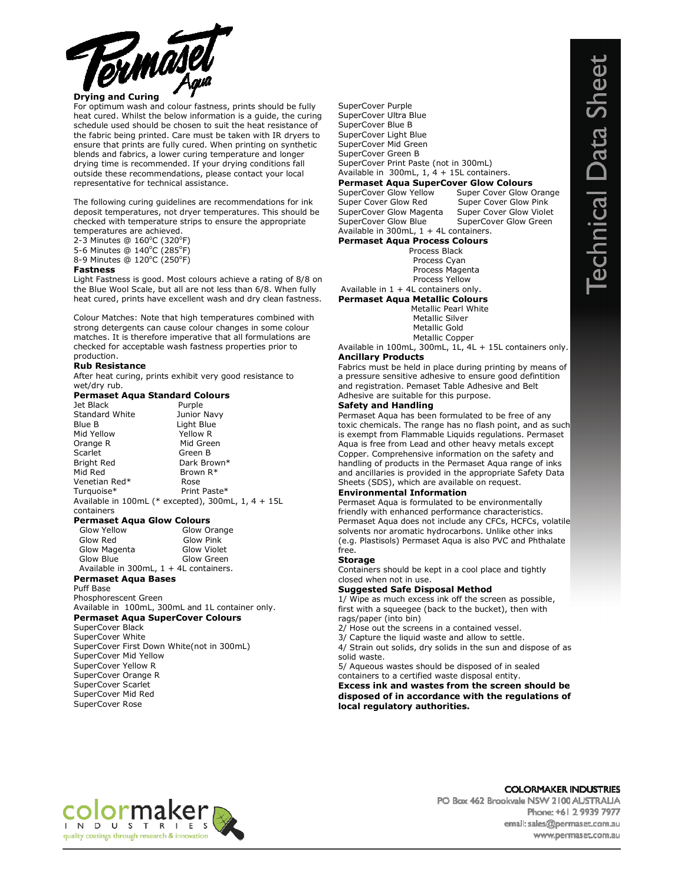

## Drying and Curing

For optimum wash and colour fastness, prints should be fully heat cured. Whilst the below information is a guide, the curing schedule used should be chosen to suit the heat resistance of the fabric being printed. Care must be taken with IR dryers to ensure that prints are fully cured. When printing on synthetic blends and fabrics, a lower curing temperature and longer drying time is recommended. If your drying conditions fall outside these recommendations, please contact your local representative for technical assistance.

The following curing guidelines are recommendations for ink deposit temperatures, not dryer temperatures. This should be checked with temperature strips to ensure the appropriate temperatures are achieved.

2-3 Minutes @ 160°C (320°F)

5-6 Minutes @ 140°C (285°F) 8-9 Minutes @ 120°C (250°F)

### Fastness

Light Fastness is good. Most colours achieve a rating of 8/8 on the Blue Wool Scale, but all are not less than 6/8. When fully heat cured, prints have excellent wash and dry clean fastness.

Colour Matches: Note that high temperatures combined with strong detergents can cause colour changes in some colour matches. It is therefore imperative that all formulations are checked for acceptable wash fastness properties prior to production.

### Rub Resistance

After heat curing, prints exhibit very good resistance to wet/dry rub.

## Permaset Aqua Standard Colours

| Jet Black             | Purple                                                      |
|-----------------------|-------------------------------------------------------------|
| <b>Standard White</b> | Junior Navy                                                 |
| Blue B                | Light Blue                                                  |
| Mid Yellow            | Yellow R                                                    |
| Orange R              | Mid Green                                                   |
| Scarlet               | Green B                                                     |
| <b>Bright Red</b>     | Dark Brown*                                                 |
| Mid Red               | Brown R*                                                    |
| Venetian Red*         | Rose                                                        |
| Turquoise*            | Print Paste*                                                |
| containers            | Available in $100$ mL (* excepted), $300$ mL, $1, 4 + 15$ L |
|                       |                                                             |

#### Permaset Aqua Glow Colours

| Glow Yellow                                 | Glow Orange        |
|---------------------------------------------|--------------------|
|                                             |                    |
| Glow Red                                    | Glow Pink          |
|                                             |                    |
| Glow Magenta                                | <b>Glow Violet</b> |
|                                             |                    |
| Glow Blue                                   | Glow Green         |
|                                             |                    |
| Available in $300mL$ , $1 + 4L$ containers. |                    |
|                                             |                    |

## Permaset Aqua Bases

Puff Base Phosphorescent Green Available in 100mL, 300mL and 1L container only.

## Permaset Aqua SuperCover Colours

SuperCover Black SuperCover White SuperCover First Down White(not in 300mL) SuperCover Mid Yellow SuperCover Yellow R SuperCover Orange R SuperCover Scarlet SuperCover Mid Red SuperCover Rose

SuperCover Purple SuperCover Ultra Blue SuperCover Blue B SuperCover Light Blue SuperCover Mid Green SuperCover Green B SuperCover Print Paste (not in 300mL) Available in 300mL, 1, 4 + 15L containers. **Permaset Aqua SuperCover Glow Colours**<br>SuperCover Glow Yellow Super Cover Glow ( SuperCover Glow Yellow Super Cover Glow Orange<br>Super Cover Glow Red Super Cover Glow Pink Super Cover Glow Pink SuperCover Glow Magenta Super Cover Glow Violet<br>SuperCover Glow Blue SuperCover Glow Green SuperCover Glow Green Available in 300mL, 1 + 4L containers. Permaset Aqua Process Colours Process Black Process Cyan Process Magenta Process Yellow Available in  $1 + 4L$  containers only.

# Permaset Aqua Metallic Colours

 Metallic Pearl White Metallic Silver Metallic Gold Metallic Copper

### Available in 100mL, 300mL, 1L, 4L + 15L containers only. Ancillary Products

Fabrics must be held in place during printing by means of a pressure sensitive adhesive to ensure good defintition and registration. Pemaset Table Adhesive and Belt Adhesive are suitable for this purpose.

## Safety and Handling

Permaset Aqua has been formulated to be free of any toxic chemicals. The range has no flash point, and as such is exempt from Flammable Liquids regulations. Permaset Aqua is free from Lead and other heavy metals except Copper. Comprehensive information on the safety and handling of products in the Permaset Aqua range of inks and ancillaries is provided in the appropriate Safety Data Sheets (SDS), which are available on request.

## Environmental Information

Permaset Aqua is formulated to be environmentally friendly with enhanced performance characteristics. Permaset Aqua does not include any CFCs, HCFCs, volatile solvents nor aromatic hydrocarbons. Unlike other inks (e.g. Plastisols) Permaset Aqua is also PVC and Phthalate free.

#### **Storage**

Containers should be kept in a cool place and tightly closed when not in use.

## Suggested Safe Disposal Method

1/ Wipe as much excess ink off the screen as possible, first with a squeegee (back to the bucket), then with rags/paper (into bin)

- 2/ Hose out the screens in a contained vessel.
- 3/ Capture the liquid waste and allow to settle.

4/ Strain out solids, dry solids in the sun and dispose of as solid waste.

5/ Aqueous wastes should be disposed of in sealed containers to a certified waste disposal entity.

Excess ink and wastes from the screen should be disposed of in accordance with the regulations of local regulatory authorities.



**COLORMAKER INDUSTRIES** PO Box 462 Brookvale NSW 2100 AUSTRALIA Phone: +61 2 9939 7977 email: sales@permaset.com.au www.permaset.com.au